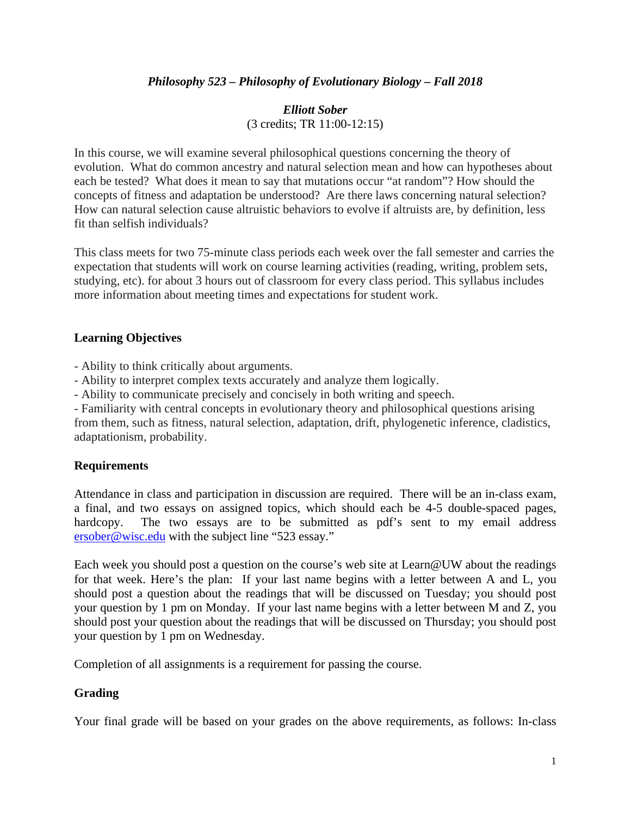# *Philosophy 523 – Philosophy of Evolutionary Biology – Fall 2018*

# *Elliott Sober* (3 credits; TR 11:00-12:15)

In this course, we will examine several philosophical questions concerning the theory of evolution. What do common ancestry and natural selection mean and how can hypotheses about each be tested? What does it mean to say that mutations occur "at random"? How should the concepts of fitness and adaptation be understood? Are there laws concerning natural selection? How can natural selection cause altruistic behaviors to evolve if altruists are, by definition, less fit than selfish individuals?

This class meets for two 75-minute class periods each week over the fall semester and carries the expectation that students will work on course learning activities (reading, writing, problem sets, studying, etc). for about 3 hours out of classroom for every class period. This syllabus includes more information about meeting times and expectations for student work.

# **Learning Objectives**

- Ability to think critically about arguments.
- Ability to interpret complex texts accurately and analyze them logically.
- Ability to communicate precisely and concisely in both writing and speech.

- Familiarity with central concepts in evolutionary theory and philosophical questions arising from them, such as fitness, natural selection, adaptation, drift, phylogenetic inference, cladistics, adaptationism, probability.

# **Requirements**

Attendance in class and participation in discussion are required. There will be an in-class exam, a final, and two essays on assigned topics, which should each be 4-5 double-spaced pages, hardcopy. The two essays are to be submitted as pdf's sent to my email address [ersober@wisc.edu](mailto:ersober@wisc.edu) with the subject line "523 essay."

Each week you should post a question on the course's web site at Learn@UW about the readings for that week. Here's the plan: If your last name begins with a letter between A and L, you should post a question about the readings that will be discussed on Tuesday; you should post your question by 1 pm on Monday. If your last name begins with a letter between M and Z, you should post your question about the readings that will be discussed on Thursday; you should post your question by 1 pm on Wednesday.

Completion of all assignments is a requirement for passing the course.

# **Grading**

Your final grade will be based on your grades on the above requirements, as follows: In-class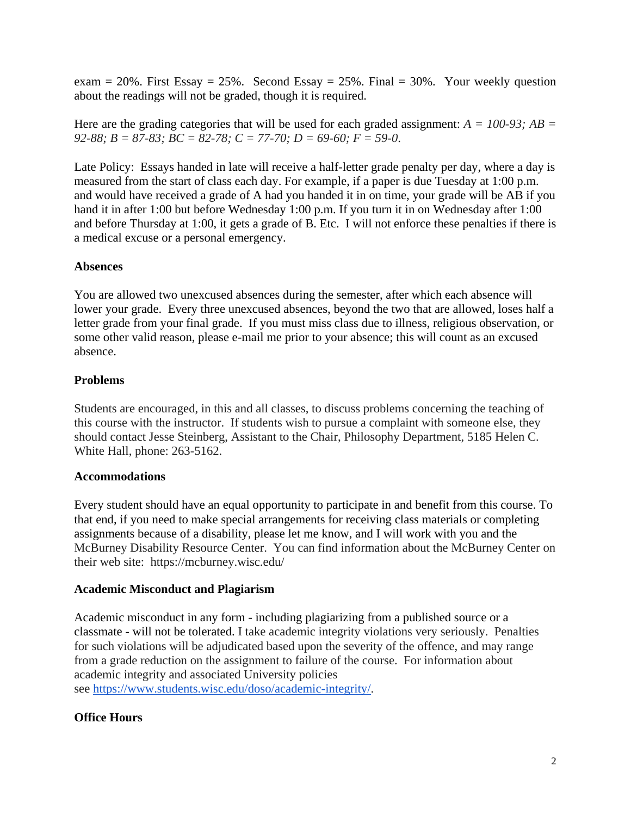exam = 20%. First Essay = 25%. Second Essay = 25%. Final = 30%. Your weekly question about the readings will not be graded, though it is required.

Here are the grading categories that will be used for each graded assignment:  $A = 100-93$ ;  $AB =$ *92-88; B = 87-83; BC = 82-78; C = 77-70; D = 69-60; F = 59-0*.

Late Policy: Essays handed in late will receive a half-letter grade penalty per day, where a day is measured from the start of class each day. For example, if a paper is due Tuesday at 1:00 p.m. and would have received a grade of A had you handed it in on time, your grade will be AB if you hand it in after 1:00 but before Wednesday 1:00 p.m. If you turn it in on Wednesday after 1:00 and before Thursday at 1:00, it gets a grade of B. Etc. I will not enforce these penalties if there is a medical excuse or a personal emergency.

# **Absences**

You are allowed two unexcused absences during the semester, after which each absence will lower your grade. Every three unexcused absences, beyond the two that are allowed, loses half a letter grade from your final grade. If you must miss class due to illness, religious observation, or some other valid reason, please e-mail me prior to your absence; this will count as an excused absence.

# **Problems**

Students are encouraged, in this and all classes, to discuss problems concerning the teaching of this course with the instructor. If students wish to pursue a complaint with someone else, they should contact Jesse Steinberg, Assistant to the Chair, Philosophy Department, 5185 Helen C. White Hall, phone: 263-5162.

# **Accommodations**

Every student should have an equal opportunity to participate in and benefit from this course. To that end, if you need to make special arrangements for receiving class materials or completing assignments because of a disability, please let me know, and I will work with you and the McBurney Disability Resource Center. You can find information about the McBurney Center on their web site: https://mcburney.wisc.edu/

# **Academic Misconduct and Plagiarism**

Academic misconduct in any form - including plagiarizing from a published source or a classmate - will not be tolerated. I take academic integrity violations very seriously. Penalties for such violations will be adjudicated based upon the severity of the offence, and may range from a grade reduction on the assignment to failure of the course. For information about academic integrity and associated University policies see [https://www.students.wisc.edu/doso/academic-integrity/.](https://www.students.wisc.edu/doso/academic-integrity/)

# **Office Hours**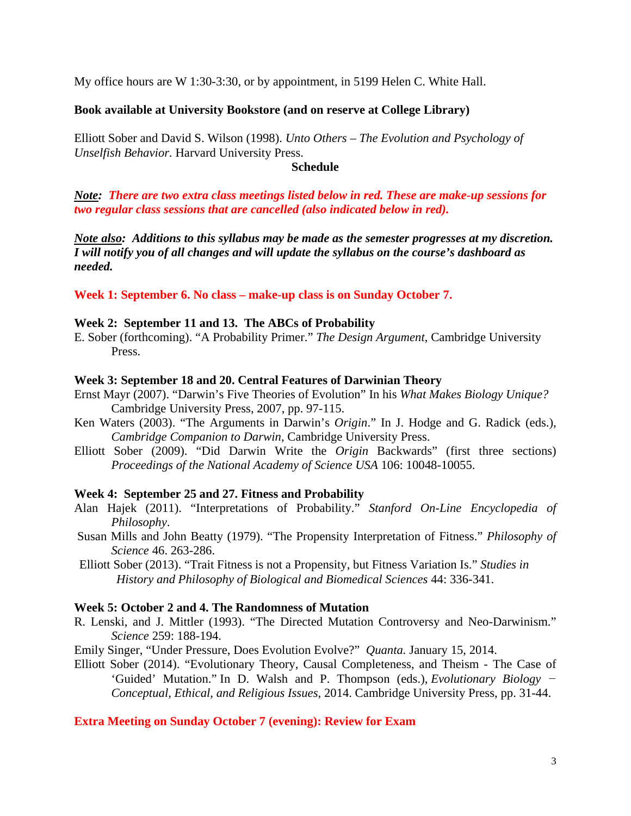My office hours are W 1:30-3:30, or by appointment, in 5199 Helen C. White Hall.

# **Book available at University Bookstore (and on reserve at College Library)**

Elliott Sober and David S. Wilson (1998). *Unto Others – The Evolution and Psychology of Unselfish Behavior.* Harvard University Press.

### **Schedule**

*Note: There are two extra class meetings listed below in red. These are make-up sessions for two regular class sessions that are cancelled (also indicated below in red).*

*Note also: Additions to this syllabus may be made as the semester progresses at my discretion. I will notify you of all changes and will update the syllabus on the course's dashboard as needed.*

**Week 1: September 6. No class – make-up class is on Sunday October 7.**

### **Week 2: September 11 and 13. The ABCs of Probability**

E. Sober (forthcoming). "A Probability Primer." *The Design Argument*, Cambridge University Press.

### **Week 3: September 18 and 20. Central Features of Darwinian Theory**

- Ernst Mayr (2007). "Darwin's Five Theories of Evolution" In his *What Makes Biology Unique?* Cambridge University Press, 2007, pp. 97-115.
- Ken Waters (2003). "The Arguments in Darwin's *Origin*." In J. Hodge and G. Radick (eds.), *Cambridge Companion to Darwin*, Cambridge University Press.
- Elliott Sober (2009). "Did Darwin Write the *Origin* Backwards" (first three sections) *Proceedings of the National Academy of Science USA* 106: 10048-10055.

### **Week 4: September 25 and 27. Fitness and Probability**

- Alan Hajek (2011). "Interpretations of Probability." *Stanford On-Line Encyclopedia of Philosophy*.
- Susan Mills and John Beatty (1979). "The Propensity Interpretation of Fitness." *Philosophy of Science* 46. 263-286.

Elliott Sober (2013). "Trait Fitness is not a Propensity, but Fitness Variation Is." *Studies in History and Philosophy of Biological and Biomedical Sciences* 44: 336-341.

## **Week 5: October 2 and 4. The Randomness of Mutation**

- R. Lenski, and J. Mittler (1993). "The Directed Mutation Controversy and Neo-Darwinism." *Science* 259: 188-194.
- Emily Singer, "Under Pressure, Does Evolution Evolve?" *Quanta.* January 15, 2014.

Elliott Sober (2014). ["Evolutionary Theory, Causal Completeness, and Theism](http://sober.philosophy.wisc.edu/selected-papers/ID-2014-EvolutionaryTheoryCausalCompletenessAndTheism.pdf?attredirects=0) - The Case of 'Guided' [Mutation.](http://sober.philosophy.wisc.edu/selected-papers/ID-2014-EvolutionaryTheoryCausalCompletenessAndTheism.pdf?attredirects=0)" In D. Walsh and P. Thompson (eds.), *Evolutionary Biology − Conceptual, Ethical, and Religious Issues*, 2014. Cambridge University Press, pp. 31-44.

# **Extra Meeting on Sunday October 7 (evening): Review for Exam**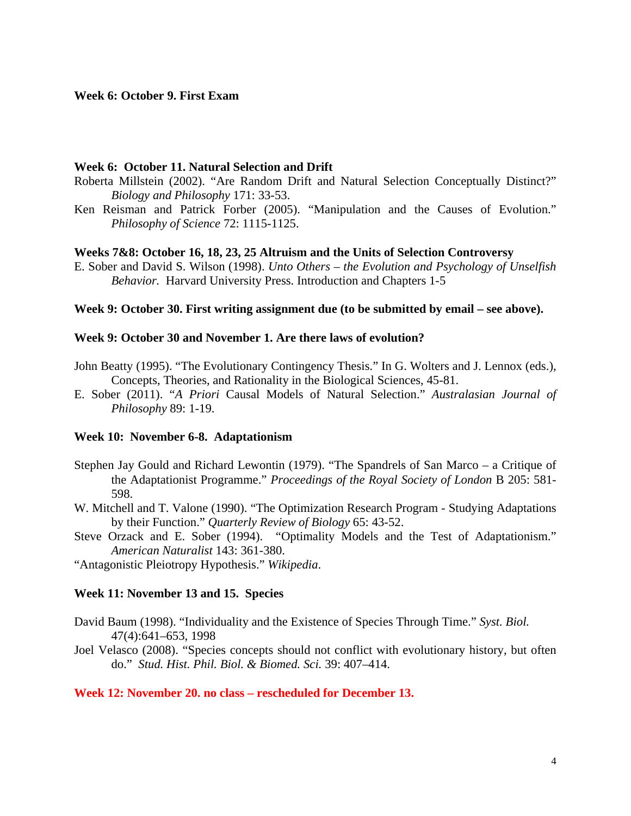#### **Week 6: October 9. First Exam**

#### **Week 6: October 11. Natural Selection and Drift**

- Roberta Millstein (2002). "Are Random Drift and Natural Selection Conceptually Distinct?" *Biology and Philosophy* 171: 33-53.
- Ken Reisman and Patrick Forber (2005). "Manipulation and the Causes of Evolution." *Philosophy of Science* 72: 1115-1125.

#### **Weeks 7&8: October 16, 18, 23, 25 Altruism and the Units of Selection Controversy**

E. Sober and David S. Wilson (1998). *Unto Others – the Evolution and Psychology of Unselfish Behavior.* Harvard University Press. Introduction and Chapters 1-5

### **Week 9: October 30. First writing assignment due (to be submitted by email – see above).**

# **Week 9: October 30 and November 1. Are there laws of evolution?**

- John Beatty (1995). "The Evolutionary Contingency Thesis." In G. Wolters and J. Lennox (eds.), Concepts, Theories, and Rationality in the Biological Sciences, 45-81.
- E. Sober (2011). "*A Priori* Causal Models of Natural Selection." *Australasian Journal of Philosophy* 89: 1-19.

#### **Week 10: November 6-8. Adaptationism**

- Stephen Jay Gould and Richard Lewontin (1979). "The Spandrels of San Marco a Critique of the Adaptationist Programme." *Proceedings of the Royal Society of London* B 205: 581- 598.
- W. Mitchell and T. Valone (1990). "The Optimization Research Program Studying Adaptations by their Function." *Quarterly Review of Biology* 65: 43-52.
- Steve Orzack and E. Sober (1994). "Optimality Models and the Test of Adaptationism." *American Naturalist* 143: 361-380.

"Antagonistic Pleiotropy Hypothesis." *Wikipedia*.

#### **Week 11: November 13 and 15. Species**

- David Baum (1998). "Individuality and the Existence of Species Through Time." *Syst. Biol.*  47(4):641–653, 1998
- Joel Velasco (2008). "Species concepts should not conflict with evolutionary history, but often do." *Stud. Hist. Phil. Biol. & Biomed. Sci.* 39: 407–414.

#### **Week 12: November 20. no class – rescheduled for December 13.**